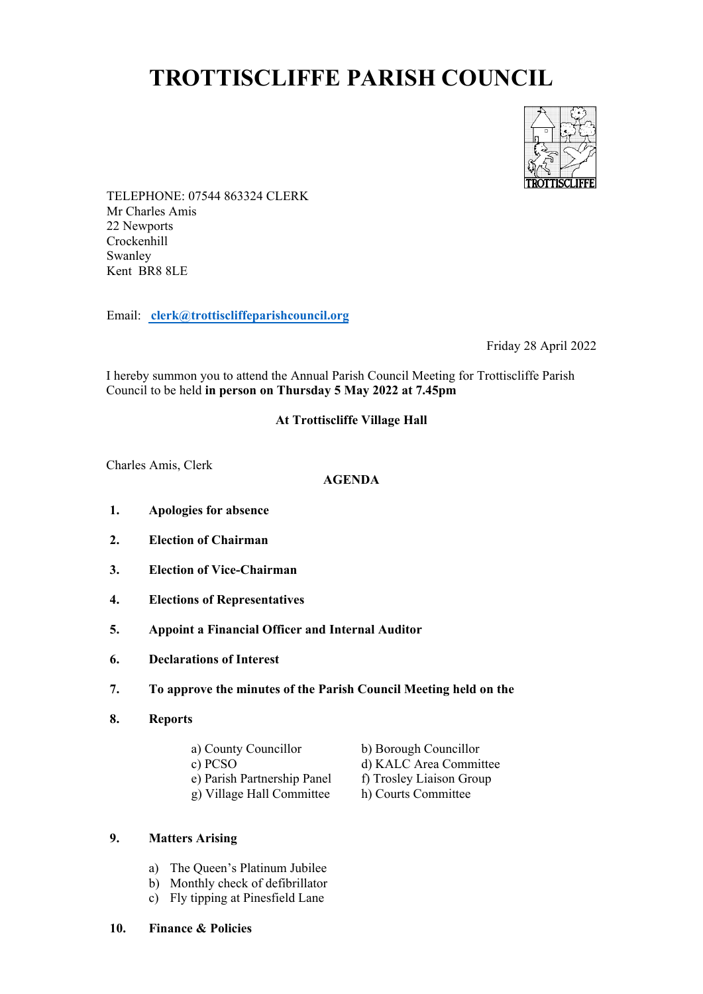# **TROTTISCLIFFE PARISH COUNCIL**



TELEPHONE: 07544 863324 CLERK Mr Charles Amis 22 Newports Crockenhill Swanley Kent BR8 8LE

Email: **clerk@trottiscliffeparishcouncil.org**

Friday 28 April 2022

I hereby summon you to attend the Annual Parish Council Meeting for Trottiscliffe Parish Council to be held **in person on Thursday 5 May 2022 at 7.45pm**

# **At Trottiscliffe Village Hall**

Charles Amis, Clerk

#### **AGENDA**

- **1. Apologies for absence**
- **2. Election of Chairman**
- **3. Election of Vice-Chairman**
- **4. Elections of Representatives**
- **5. Appoint a Financial Officer and Internal Auditor**
- **6. Declarations of Interest**
- **7. To approve the minutes of the Parish Council Meeting held on the**
- **8. Reports**

| a) County Councillor        | b) Borough Councillor    |
|-----------------------------|--------------------------|
| c) PCSO                     | d) KALC Area Committee   |
| e) Parish Partnership Panel | f) Trosley Liaison Group |
| g) Village Hall Committee   | h) Courts Committee      |

# **9. Matters Arising**

- a) The Queen's Platinum Jubilee
- b) Monthly check of defibrillator
- c) Fly tipping at Pinesfield Lane
- **10. Finance & Policies**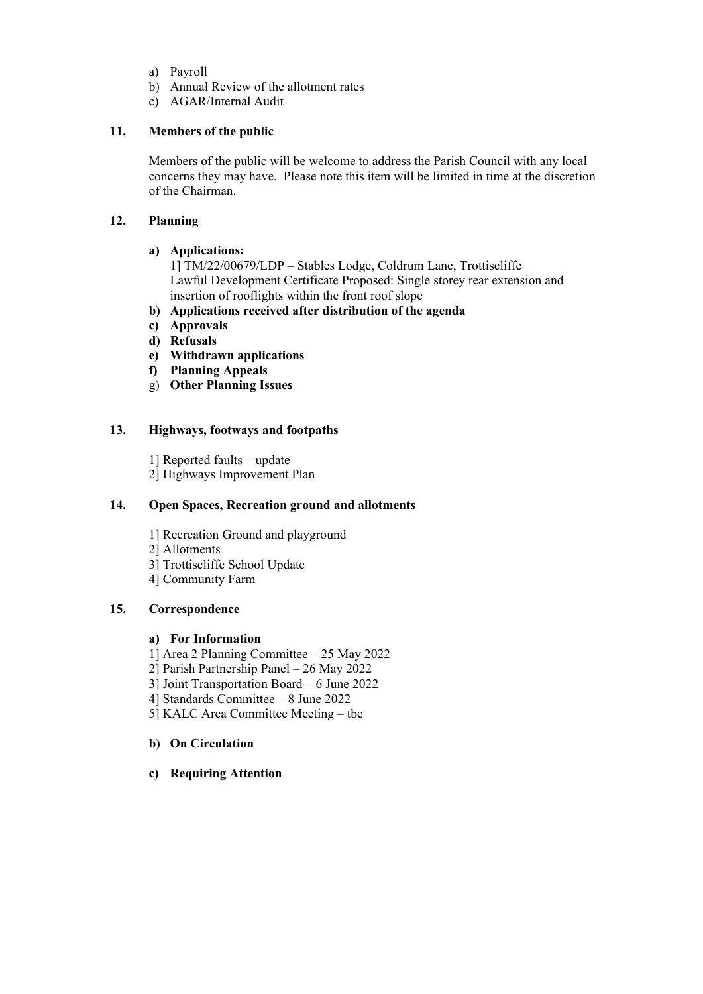- a) Payroll
- b) Annual Review of the allotment rates
- c) AGAR/Internal Audit

## **11. Members of the public**

Members of the public will be welcome to address the Parish Council with any local concerns they may have. Please note this item will be limited in time at the discretion of the Chairman.

## **12. Planning**

#### **a) Applications:**

1] TM/22/00679/LDP – Stables Lodge, Coldrum Lane, Trottiscliffe Lawful Development Certificate Proposed: Single storey rear extension and insertion of rooflights within the front roof slope

- **b) Applications received after distribution of the agenda**
- **c) Approvals**
- **d) Refusals**
- **e) Withdrawn applications**
- **f) Planning Appeals**
- g) **Other Planning Issues**

## **13. Highways, footways and footpaths**

1] Reported faults – update 2] Highways Improvement Plan

#### **14. Open Spaces, Recreation ground and allotments**

- 1] Recreation Ground and playground
- 2] Allotments
- 3] Trottiscliffe School Update
- 4] Community Farm

## **15. Correspondence**

#### **a) For Information**

- 1] Area 2 Planning Committee 25 May 2022
- 2] Parish Partnership Panel 26 May 2022
- 3] Joint Transportation Board 6 June 2022
- 4] Standards Committee 8 June 2022
- 5] KALC Area Committee Meeting tbc

# **b) On Circulation**

**c) Requiring Attention**